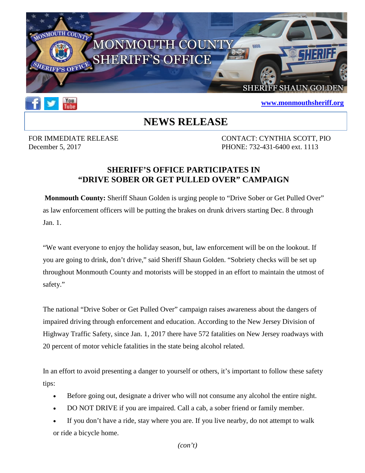



## **[www.monmouthsheriff.org](http://www.monmouthsheriff.org/)**

## **NEWS RELEASE**

FOR IMMEDIATE RELEASE CONTACT: CYNTHIA SCOTT, PIO December 5, 2017 PHONE: 732-431-6400 ext. 1113

## **SHERIFF'S OFFICE PARTICIPATES IN "DRIVE SOBER OR GET PULLED OVER" CAMPAIGN**

**Monmouth County:** Sheriff Shaun Golden is urging people to "Drive Sober or Get Pulled Over" as law enforcement officers will be putting the brakes on drunk drivers starting Dec. 8 through Jan. 1.

"We want everyone to enjoy the holiday season, but, law enforcement will be on the lookout. If you are going to drink, don't drive," said Sheriff Shaun Golden. "Sobriety checks will be set up throughout Monmouth County and motorists will be stopped in an effort to maintain the utmost of safety."

The national "Drive Sober or Get Pulled Over" campaign raises awareness about the dangers of impaired driving through enforcement and education. According to the New Jersey Division of Highway Traffic Safety, since Jan. 1, 2017 there have 572 fatalities on New Jersey roadways with 20 percent of motor vehicle fatalities in the state being alcohol related.

In an effort to avoid presenting a danger to yourself or others, it's important to follow these safety tips:

- Before going out, designate a driver who will not consume any alcohol the entire night.
- DO NOT DRIVE if you are impaired. Call a cab, a sober friend or family member.
- If you don't have a ride, stay where you are. If you live nearby, do not attempt to walk or ride a bicycle home.

*(con't)*